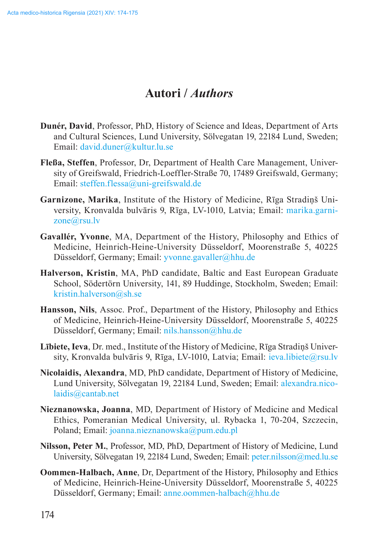## **Autori /** *Authors*

- **Dunér, David**, Professor, PhD, History of Science and Ideas, Department of Arts and Cultural Sciences, Lund University, Sölvegatan 19, 22184 Lund, Sweden; Email: [david.duner@kultur.lu.se](mailto:david.duner%40kultur.lu.se?subject=)
- **Fleßa, Steffen**, Professor, Dr, Department of Health Care Management, University of Greifswald, Friedrich-Loeffler-Straße 70, 17489 Greifswald, Germany; Email: [steffen.flessa@uni-greifswald.de](mailto:Felicitas.Soehner%40hhu.de?subject=)
- **Garnizone, Marika**, Institute of the History of Medicine, Rīga Stradiņš University, Kronvalda bulvāris 9, Rīga, LV-1010, Latvia; Email: [marika.garni](mailto:juris.salaks%40rsu.lv?subject=)zone[@rsu.lv](mailto:juris.salaks%40rsu.lv?subject=)
- **Gavallér, Yvonne**, MA, Department of the History, Philosophy and Ethics of Medicine, Heinrich-Heine-University Düsseldorf, Moorenstraße 5, 40225 Düsseldorf, Germany; Email: [yvonne.gavaller@hhu.de](mailto:Felicitas.Soehner%40hhu.de?subject=)
- **Halverson, Kristin**, MA, PhD candidate, Baltic and East European Graduate School, Södertörn University, 141, 89 Huddinge, Stockholm, Sweden; Email: [kristin.halverson@sh.se](mailto:kristin.halverson%40sh.se?subject=)
- **Hansson, Nils**, Assoc. Prof., Department of the History, Philosophy and Ethics of Medicine, Heinrich-Heine-University Düsseldorf, Moorenstraße 5, 40225 Düsseldorf, Germany; Email: [nils.hansson@hhu.de](mailto:Felicitas.Soehner%40hhu.de?subject=)
- **Lībiete, Ieva**, Dr. med., Institute of the History of Medicine, Rīga Stradiņš University, Kronvalda bulvāris 9, Rīga, LV-1010, Latvia; Email: *[ieva.libiete@rsu.lv](mailto:juris.salaks%40rsu.lv?subject=)*
- **Nicolaidis, Alexandra**, MD, PhD candidate, Department of History of Medicine, Lund University, Sölvegatan 19, 22184 Lund, Sweden; Email: [alexandra.nico](mailto:Felicitas.Soehner%40hhu.de?subject=)[laidis@cantab.net](mailto:Felicitas.Soehner%40hhu.de?subject=)
- **Nieznanowska, Joanna**, MD, Department of History of Medicine and Medical Ethics, Pomeranian Medical University, ul. Rybacka 1, 70-204, Szczecin, Poland; Email: [joanna.nieznanowska@pum.edu.pl](mailto:joanna.nieznanowska@pum.edu.pl)
- **Nilsson, Peter M.**, Professor, MD, PhD, Department of History of Medicine, Lund University, Sölvegatan 19, 22184 Lund, Sweden; Email: [peter.nilsson@med.lu.se](mailto:Felicitas.Soehner%40hhu.de?subject=)
- **Oommen-Halbach, Anne**, Dr, Department of the History, Philosophy and Ethics of Medicine, Heinrich-Heine-University Düsseldorf, Moorenstraße 5, 40225 Düsseldorf, Germany; Email: [anne.oommen-halbach@hhu.de](mailto:anne.oommen-halbach@hhu.de)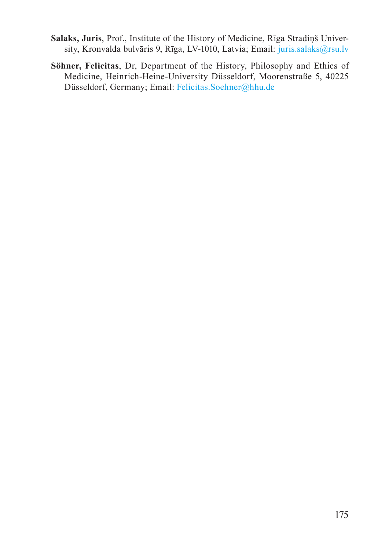- **Salaks, Juris**, Prof., Institute of the History of Medicine, Rīga Stradiņš University, Kronvalda bulvāris 9, Rīga, LV-1010, Latvia; Email: [juris.salaks@rsu.lv](mailto:juris.salaks%40rsu.lv?subject=)
- **Söhner, Felicitas**, Dr, Department of the History, Philosophy and Ethics of Medicine, Heinrich-Heine-University Düsseldorf, Moorenstraße 5, 40225 Düsseldorf, Germany; Email: [Felicitas.Soehner@hhu.de](mailto:Felicitas.Soehner%40hhu.de?subject=)